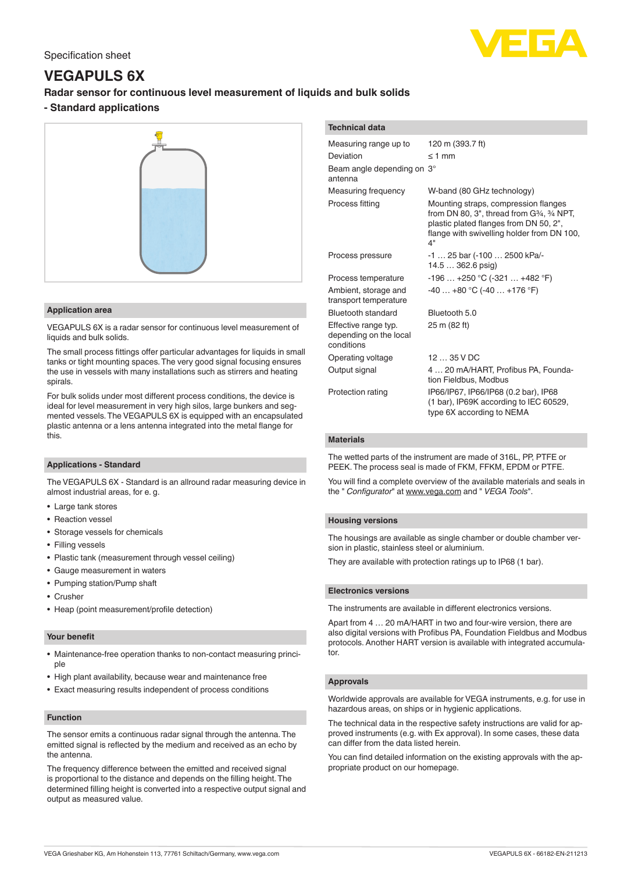# **VEGAPULS 6X**

# **Radar sensor for continuous level measurement of liquids and bulk solids**

# **- Standard applications**



## **Application area**

VEGAPULS 6X is a radar sensor for continuous level measurement of liquids and bulk solids.

The small process fittings offer particular advantages for liquids in small tanks or tight mounting spaces. The very good signal focusing ensures the use in vessels with many installations such as stirrers and heating spirals.

For bulk solids under most different process conditions, the device is ideal for level measurement in very high silos, large bunkers and segmented vessels. The VEGAPULS 6X is equipped with an encapsulated plastic antenna or a lens antenna integrated into the metal flange for this.

# **Applications - Standard**

The VEGAPULS 6X - Standard is an allround radar measuring device in almost industrial areas, for e. g.

- Large tank stores
- Reaction vessel
- Storage vessels for chemicals
- Filling vessels
- Plastic tank (measurement through vessel ceiling)
- Gauge measurement in waters
- Pumping station/Pump shaft
- Crusher
- Heap (point measurement/profile detection)

#### **Your benefit**

- Maintenance-free operation thanks to non-contact measuring principle
- High plant availability, because wear and maintenance free
- Exact measuring results independent of process conditions

# **Function**

The sensor emits a continuous radar signal through the antenna. The emitted signal is reflected by the medium and received as an echo by the antenna.

The frequency difference between the emitted and received signal is proportional to the distance and depends on the filling height. The determined filling height is converted into a respective output signal and output as measured value.

| <b>Technical data</b>                                        |                                                                                                                                                                                                   |
|--------------------------------------------------------------|---------------------------------------------------------------------------------------------------------------------------------------------------------------------------------------------------|
| Measuring range up to                                        | 120 m (393.7 ft)                                                                                                                                                                                  |
| Deviation                                                    | $\leq 1$ mm                                                                                                                                                                                       |
| Beam angle depending on 3°<br>antenna                        |                                                                                                                                                                                                   |
| Measuring frequency                                          | W-band (80 GHz technology)                                                                                                                                                                        |
| Process fitting                                              | Mounting straps, compression flanges<br>from DN 80, $3^{\circ}$ , thread from $G_{4}^{3}/_{4}NPT$ ,<br>plastic plated flanges from DN 50, 2",<br>flange with swivelling holder from DN 100,<br>4" |
| Process pressure                                             | -1  25 bar (-100  2500 kPa/-<br>14.5  362.6 psig)                                                                                                                                                 |
| Process temperature                                          | $-196+250$ °C ( $-321+482$ °F)                                                                                                                                                                    |
| Ambient, storage and<br>transport temperature                | $-40+80$ °C ( $-40+176$ °F)                                                                                                                                                                       |
| Bluetooth standard                                           | Bluetooth 5.0                                                                                                                                                                                     |
| Effective range typ.<br>depending on the local<br>conditions | 25 m (82 ft)                                                                                                                                                                                      |
| Operating voltage                                            | 1235VDC                                                                                                                                                                                           |
| Output signal                                                | 4  20 mA/HART, Profibus PA, Founda-<br>tion Fieldbus, Modbus                                                                                                                                      |
| Protection rating                                            | IP66/IP67, IP66/IP68 (0.2 bar), IP68<br>(1 bar), IP69K according to IEC 60529,<br>type 6X according to NEMA                                                                                       |

# **Materials**

The wetted parts of the instrument are made of 316L, PP, PTFE or PEEK. The process seal is made of FKM, FFKM, EPDM or PTFE.

You will find a complete overview of the available materials and seals in the " *Configurator*" at [www.vega.com](http://www.vega.com) and " *VEGA Tools*".

# **Housing versions**

The housings are available as single chamber or double chamber version in plastic, stainless steel or aluminium.

They are available with protection ratings up to IP68 (1 bar).

#### **Electronics versions**

The instruments are available in different electronics versions.

Apart from 4 … 20 mA/HART in two and four-wire version, there are also digital versions with Profibus PA, Foundation Fieldbus and Modbus protocols. Another HART version is available with integrated accumulator.

#### **Approvals**

Worldwide approvals are available for VEGA instruments, e.g. for use in hazardous areas, on ships or in hygienic applications.

The technical data in the respective safety instructions are valid for approved instruments (e.g. with Ex approval). In some cases, these data can differ from the data listed herein.

You can find detailed information on the existing approvals with the appropriate product on our homepage.